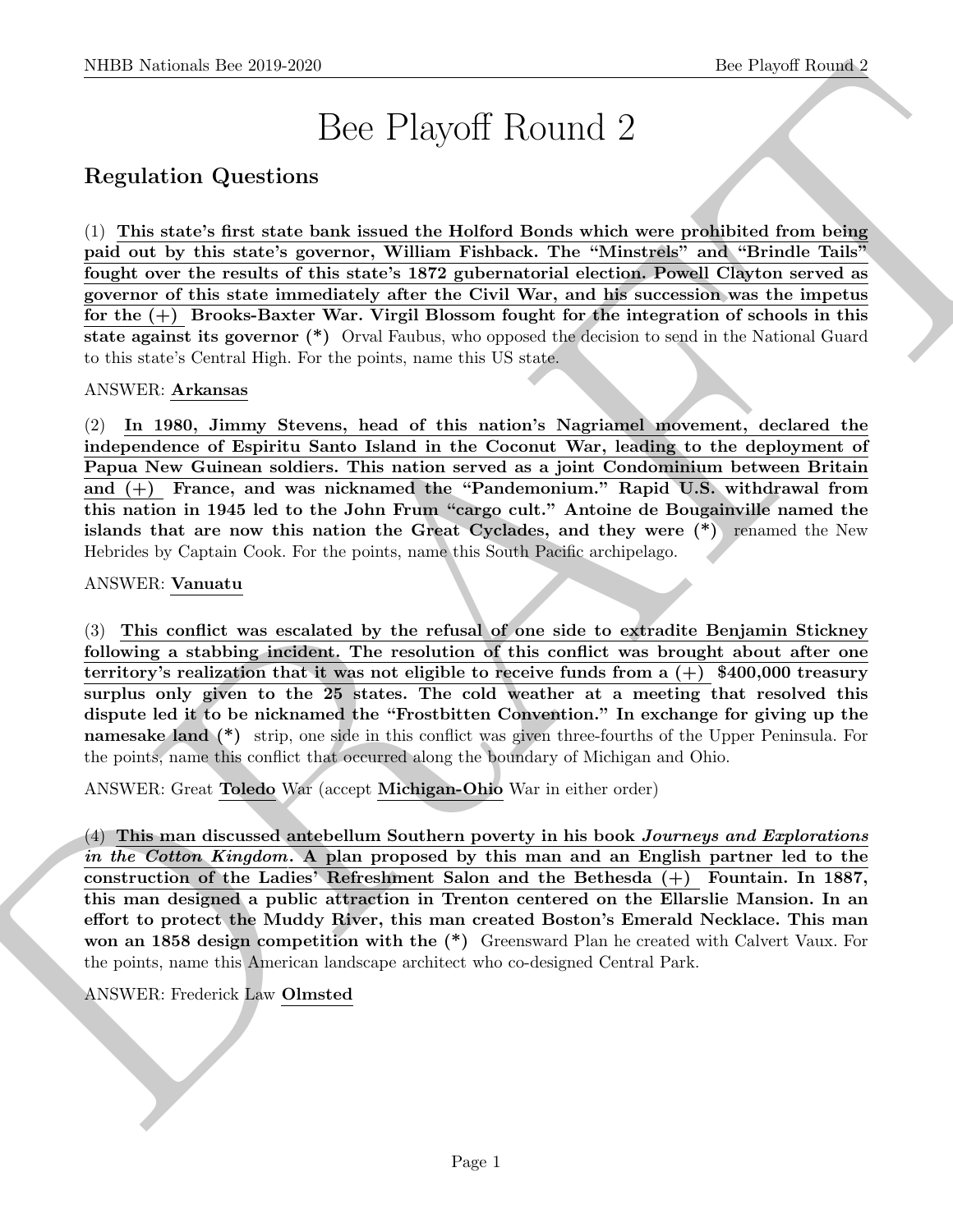# Bee Playoff Round 2

# Regulation Questions

(1) This state's first state bank issued the Holford Bonds which were prohibited from being paid out by this state's governor, William Fishback. The "Minstrels" and "Brindle Tails" fought over the results of this state's 1872 gubernatorial election. Powell Clayton served as governor of this state immediately after the Civil War, and his succession was the impetus for the (+) Brooks-Baxter War. Virgil Blossom fought for the integration of schools in this state against its governor (\*) Orval Faubus, who opposed the decision to send in the National Guard to this state's Central High. For the points, name this US state.

ANSWER: Arkansas

(2) In 1980, Jimmy Stevens, head of this nation's Nagriamel movement, declared the independence of Espiritu Santo Island in the Coconut War, leading to the deployment of Papua New Guinean soldiers. This nation served as a joint Condominium between Britain and (+) France, and was nicknamed the "Pandemonium." Rapid U.S. withdrawal from this nation in 1945 led to the John Frum "cargo cult." Antoine de Bougainville named the islands that are now this nation the Great Cyclades, and they were (\*) renamed the New Hebrides by Captain Cook. For the points, name this South Pacific archipelago.

ANSWER: Vanuatu

SIDD Notional: the 20.9.269<br>
<br>
Bec Playoff Round 2<br>
Bec Playoff Round 2<br>
Regulation Questions<br>
(1) This issisches the basis issing the Hollerd Bonds which were probibited from being<br>
paid on by this issische measurement W (3) This conflict was escalated by the refusal of one side to extradite Benjamin Stickney following a stabbing incident. The resolution of this conflict was brought about after one territory's realization that it was not eligible to receive funds from a  $(+)$  \$400,000 treasury surplus only given to the 25 states. The cold weather at a meeting that resolved this dispute led it to be nicknamed the "Frostbitten Convention." In exchange for giving up the namesake land (\*) strip, one side in this conflict was given three-fourths of the Upper Peninsula. For the points, name this conflict that occurred along the boundary of Michigan and Ohio.

ANSWER: Great Toledo War (accept Michigan-Ohio War in either order)

 $(4)$  This man discussed antebellum Southern poverty in his book *Journeys and Explorations* in the Cotton Kingdom. A plan proposed by this man and an English partner led to the construction of the Ladies' Refreshment Salon and the Bethesda (+) Fountain. In 1887, this man designed a public attraction in Trenton centered on the Ellarslie Mansion. In an effort to protect the Muddy River, this man created Boston's Emerald Necklace. This man won an 1858 design competition with the  $(*)$  Greensward Plan he created with Calvert Vaux. For the points, name this American landscape architect who co-designed Central Park.

ANSWER: Frederick Law Olmsted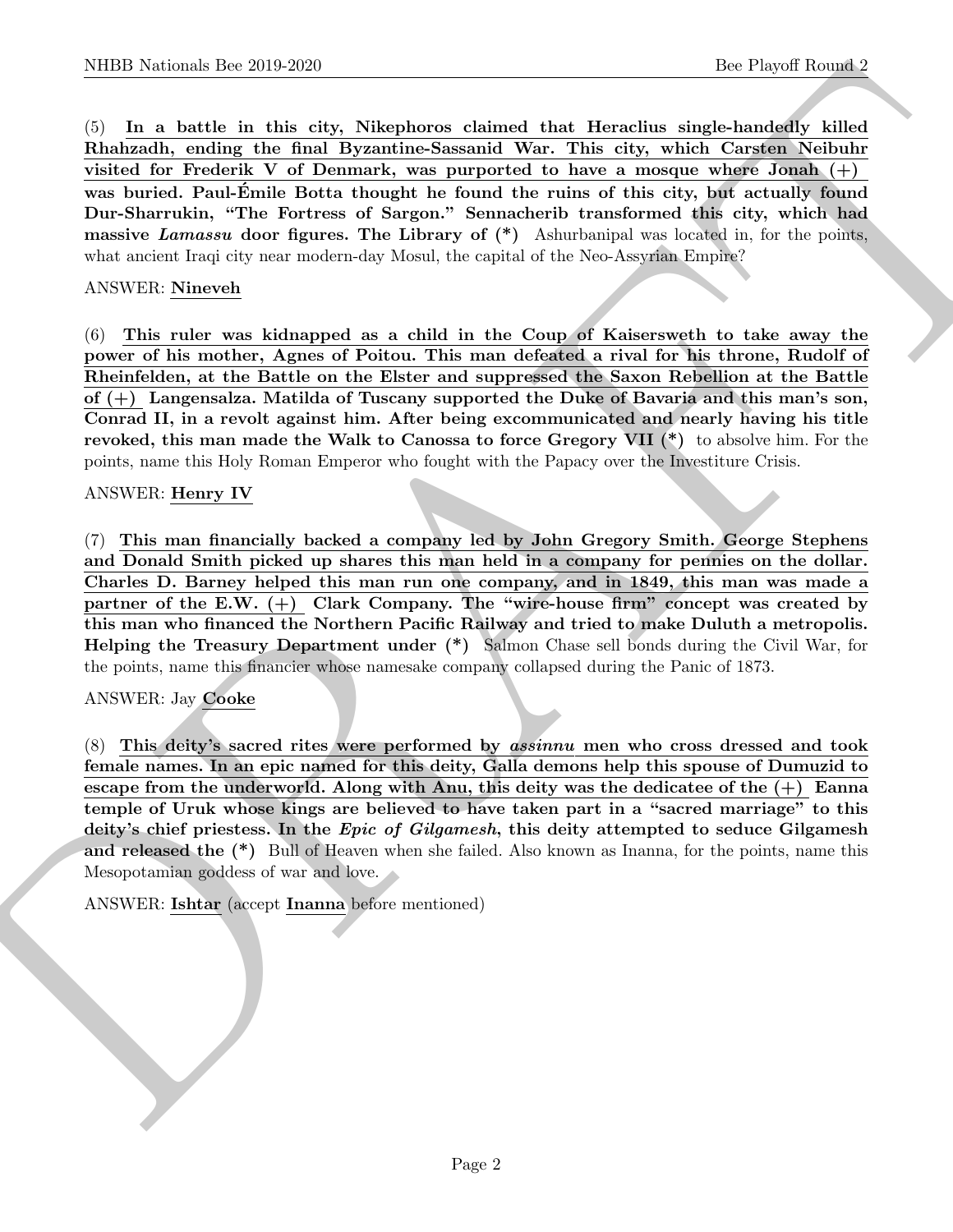NIBB Notionals line 2019.269<br>(b) Its Playeri Rooms.<sup>2</sup> (b) They also the Playeri Rooms.<sup>2</sup><br>(c) Its notional that disk edgs Nikeplaceae eigineed that Herealing which Constant Nabbels<br>This Physical Action the fits edge Nike (5) In a battle in this city, Nikephoros claimed that Heraclius single-handedly killed Rhahzadh, ending the final Byzantine-Sassanid War. This city, which Carsten Neibuhr visited for Frederik V of Denmark, was purported to have a mosque where Jonah  $(+)$ was buried. Paul-Émile Botta thought he found the ruins of this city, but actually found Dur-Sharrukin, "The Fortress of Sargon." Sennacherib transformed this city, which had massive Lamassu door figures. The Library of  $(*)$  Ashurbanipal was located in, for the points, what ancient Iraqi city near modern-day Mosul, the capital of the Neo-Assyrian Empire?

#### ANSWER: Nineveh

(6) This ruler was kidnapped as a child in the Coup of Kaisersweth to take away the power of his mother, Agnes of Poitou. This man defeated a rival for his throne, Rudolf of Rheinfelden, at the Battle on the Elster and suppressed the Saxon Rebellion at the Battle of (+) Langensalza. Matilda of Tuscany supported the Duke of Bavaria and this man's son, Conrad II, in a revolt against him. After being excommunicated and nearly having his title revoked, this man made the Walk to Canossa to force Gregory VII (\*) to absolve him. For the points, name this Holy Roman Emperor who fought with the Papacy over the Investiture Crisis.

#### ANSWER: Henry IV

(7) This man financially backed a company led by John Gregory Smith. George Stephens and Donald Smith picked up shares this man held in a company for pennies on the dollar. Charles D. Barney helped this man run one company, and in 1849, this man was made a partner of the E.W. (+) Clark Company. The "wire-house firm" concept was created by this man who financed the Northern Pacific Railway and tried to make Duluth a metropolis. Helping the Treasury Department under (\*) Salmon Chase sell bonds during the Civil War, for the points, name this financier whose namesake company collapsed during the Panic of 1873.

# ANSWER: Jay Cooke

(8) This deity's sacred rites were performed by assinnu men who cross dressed and took female names. In an epic named for this deity, Galla demons help this spouse of Dumuzid to escape from the underworld. Along with Anu, this deity was the dedicatee of the  $(+)$  Eanna temple of Uruk whose kings are believed to have taken part in a "sacred marriage" to this deity's chief priestess. In the Epic of Gilgamesh, this deity attempted to seduce Gilgamesh and released the (\*) Bull of Heaven when she failed. Also known as Inanna, for the points, name this Mesopotamian goddess of war and love.

ANSWER: Ishtar (accept Inanna before mentioned)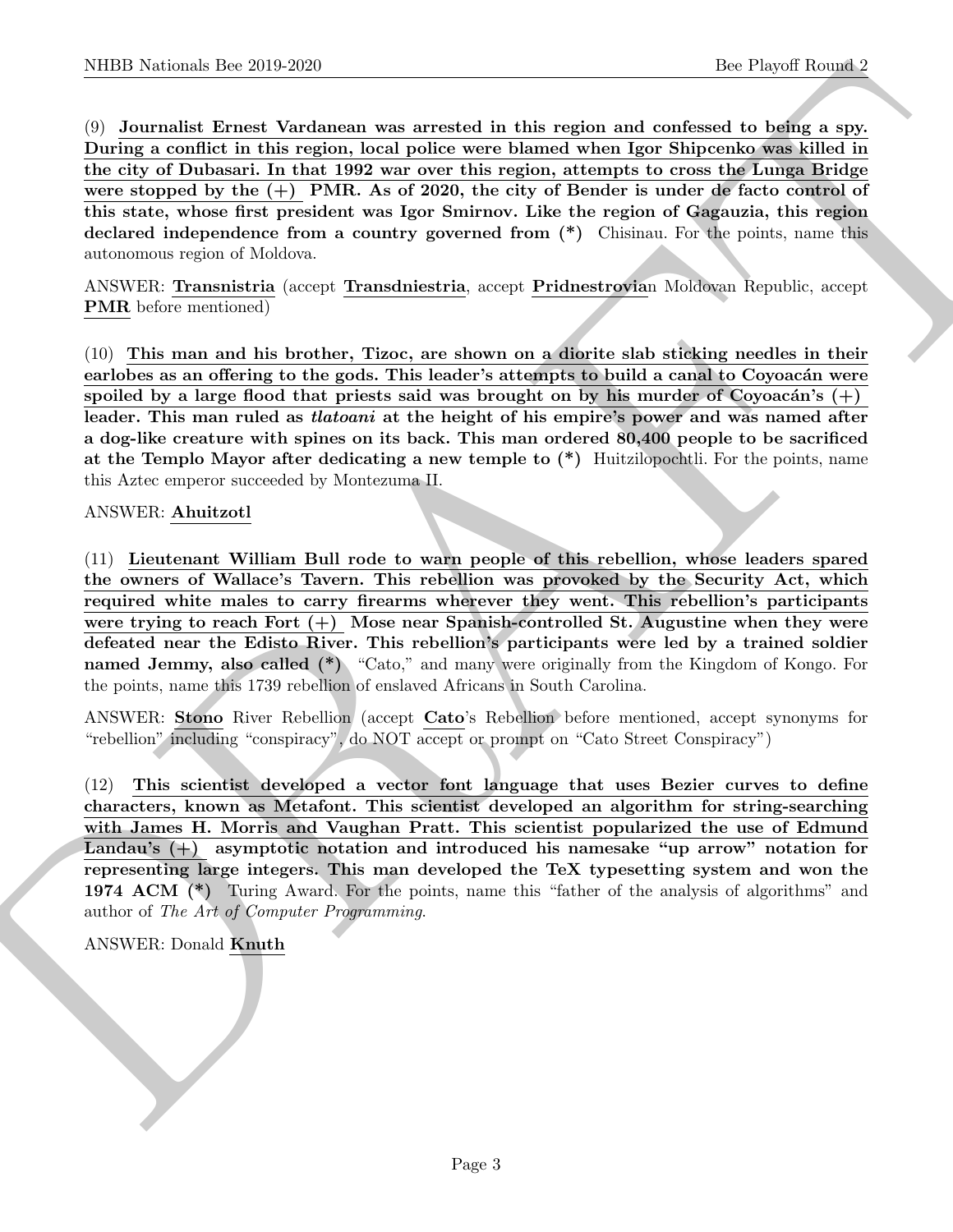NIBED Nortonic- Der 20:0 2000<br>
(b) Journalis Ernstein der 20:0 2000<br>
(b) Journalis Ernstein Markovan was neversly in this region and considerate to the<br>flux of the state of the state of the state of the state of the state (9) Journalist Ernest Vardanean was arrested in this region and confessed to being a spy. During a conflict in this region, local police were blamed when Igor Shipcenko was killed in the city of Dubasari. In that 1992 war over this region, attempts to cross the Lunga Bridge were stopped by the  $(+)$  PMR. As of 2020, the city of Bender is under de facto control of this state, whose first president was Igor Smirnov. Like the region of Gagauzia, this region declared independence from a country governed from (\*) Chisinau. For the points, name this autonomous region of Moldova.

ANSWER: Transnistria (accept Transdniestria, accept Pridnestrovian Moldovan Republic, accept PMR before mentioned)

(10) This man and his brother, Tizoc, are shown on a diorite slab sticking needles in their earlobes as an offering to the gods. This leader's attempts to build a canal to Coyoacán were spoiled by a large flood that priests said was brought on by his murder of Coyoacán's  $(+)$ leader. This man ruled as *tlatoani* at the height of his empire's power and was named after a dog-like creature with spines on its back. This man ordered 80,400 people to be sacrificed at the Templo Mayor after dedicating a new temple to (\*) Huitzilopochtli. For the points, name this Aztec emperor succeeded by Montezuma II.

# ANSWER: Ahuitzotl

(11) Lieutenant William Bull rode to warn people of this rebellion, whose leaders spared the owners of Wallace's Tavern. This rebellion was provoked by the Security Act, which required white males to carry firearms wherever they went. This rebellion's participants were trying to reach Fort  $(+)$  Mose near Spanish-controlled St. Augustine when they were defeated near the Edisto River. This rebellion's participants were led by a trained soldier named Jemmy, also called (\*) "Cato," and many were originally from the Kingdom of Kongo. For the points, name this 1739 rebellion of enslaved Africans in South Carolina.

ANSWER: Stono River Rebellion (accept Cato's Rebellion before mentioned, accept synonyms for "rebellion" including "conspiracy", do NOT accept or prompt on "Cato Street Conspiracy")

(12) This scientist developed a vector font language that uses Bezier curves to define characters, known as Metafont. This scientist developed an algorithm for string-searching with James H. Morris and Vaughan Pratt. This scientist popularized the use of Edmund Landau's (+) asymptotic notation and introduced his namesake "up arrow" notation for representing large integers. This man developed the TeX typesetting system and won the 1974 ACM (\*) Turing Award. For the points, name this "father of the analysis of algorithms" and author of The Art of Computer Programming.

#### ANSWER: Donald Knuth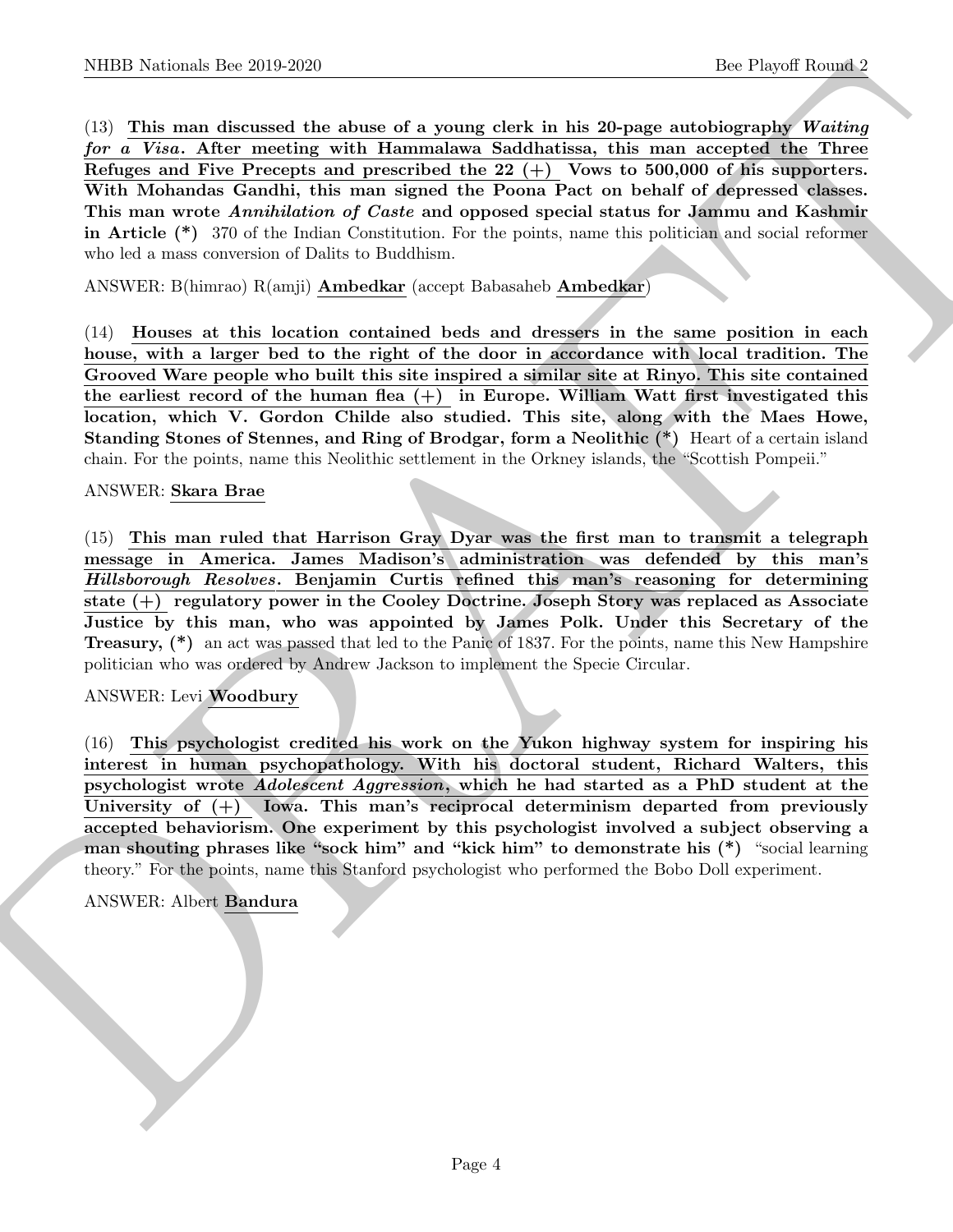NIBB Notional- line 20.9 269<br>
(b) Proper Rooms 2<br>
(d) This man directed the shown of a young clerk in his 20-page and<br>obtained Now Merric Constrained (with the main compared Westburg Merri<br>
Merri and the simple constraint  $(13)$  This man discussed the abuse of a young clerk in his 20-page autobiography Waiting for a Visa. After meeting with Hammalawa Saddhatissa, this man accepted the Three Refuges and Five Precepts and prescribed the 22 (+) Vows to 500,000 of his supporters. With Mohandas Gandhi, this man signed the Poona Pact on behalf of depressed classes. This man wrote Annihilation of Caste and opposed special status for Jammu and Kashmir in Article (\*) 370 of the Indian Constitution. For the points, name this politician and social reformer who led a mass conversion of Dalits to Buddhism.

ANSWER: B(himrao) R(amji) Ambedkar (accept Babasaheb Ambedkar)

(14) Houses at this location contained beds and dressers in the same position in each house, with a larger bed to the right of the door in accordance with local tradition. The Grooved Ware people who built this site inspired a similar site at Rinyo. This site contained the earliest record of the human flea  $(+)$  in Europe. William Watt first investigated this location, which V. Gordon Childe also studied. This site, along with the Maes Howe, Standing Stones of Stennes, and Ring of Brodgar, form a Neolithic (\*) Heart of a certain island chain. For the points, name this Neolithic settlement in the Orkney islands, the "Scottish Pompeii."

# ANSWER: Skara Brae

(15) This man ruled that Harrison Gray Dyar was the first man to transmit a telegraph message in America. James Madison's administration was defended by this man's Hillsborough Resolves. Benjamin Curtis refined this man's reasoning for determining state (+) regulatory power in the Cooley Doctrine. Joseph Story was replaced as Associate Justice by this man, who was appointed by James Polk. Under this Secretary of the Treasury, (\*) an act was passed that led to the Panic of 1837. For the points, name this New Hampshire politician who was ordered by Andrew Jackson to implement the Specie Circular.

# ANSWER: Levi Woodbury

(16) This psychologist credited his work on the Yukon highway system for inspiring his interest in human psychopathology. With his doctoral student, Richard Walters, this psychologist wrote Adolescent Aggression, which he had started as a PhD student at the University of  $(+)$  Iowa. This man's reciprocal determinism departed from previously accepted behaviorism. One experiment by this psychologist involved a subject observing a man shouting phrases like "sock him" and "kick him" to demonstrate his (\*) "social learning theory." For the points, name this Stanford psychologist who performed the Bobo Doll experiment.

#### ANSWER: Albert Bandura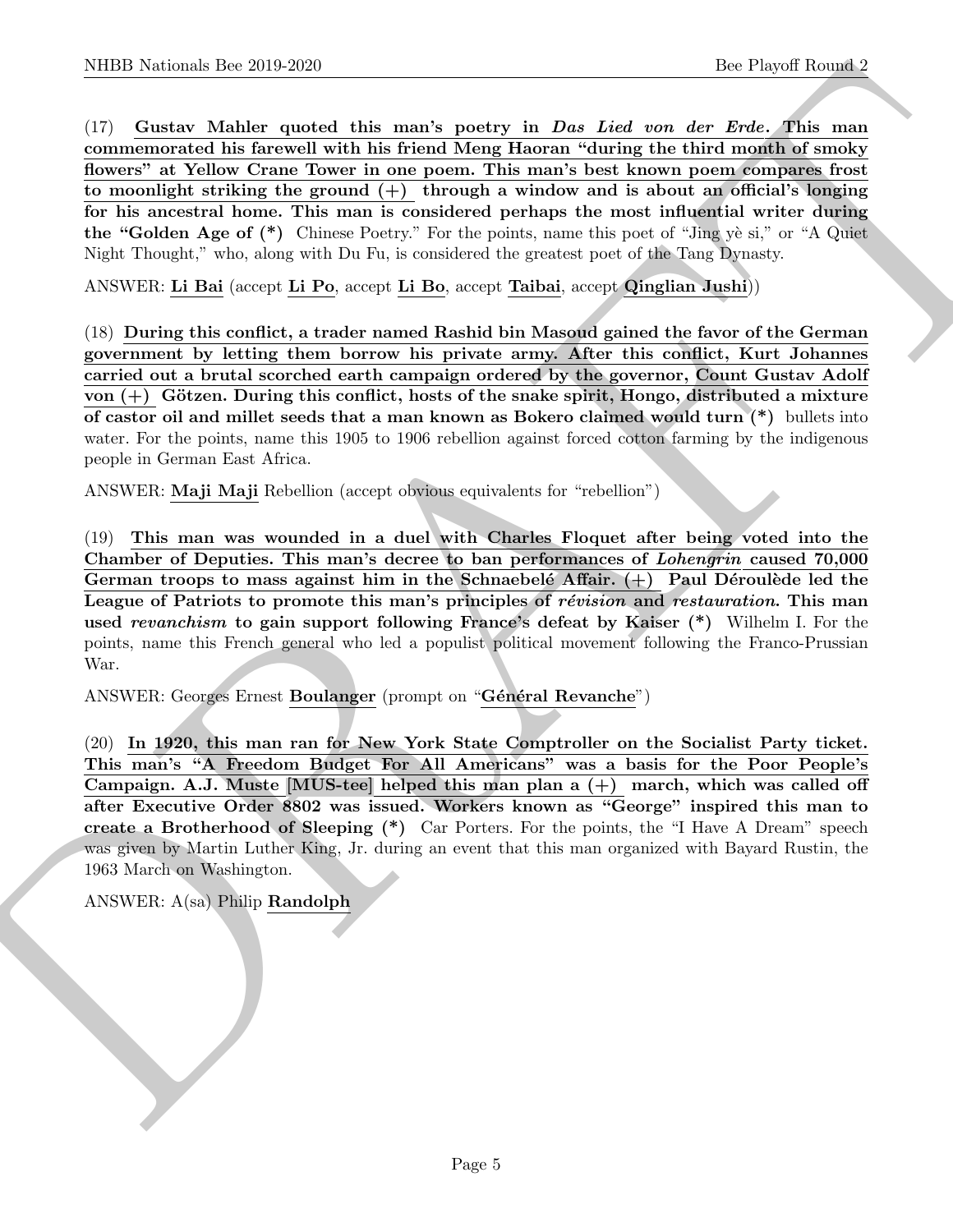NIBER Noticeals. Ber 2019.269<br>
(1) Receives Makine used this munk powds, in Day Live over the five-of-Bis many<br>
(1) Gassley and Makine used the most powds in the five-of-Bis munk powds of the Note Makine most<br>
normalized (17) Gustav Mahler quoted this man's poetry in Das Lied von der Erde. This man commemorated his farewell with his friend Meng Haoran "during the third month of smoky flowers" at Yellow Crane Tower in one poem. This man's best known poem compares frost to moonlight striking the ground  $(+)$  through a window and is about an official's longing for his ancestral home. This man is considered perhaps the most influential writer during the "Golden Age of  $(*)$  Chinese Poetry." For the points, name this poet of "Jing  $\psi$  si," or "A Quiet" Night Thought," who, along with Du Fu, is considered the greatest poet of the Tang Dynasty.

ANSWER: Li Bai (accept Li Po, accept Li Bo, accept Taibai, accept Qinglian Jushi))

(18) During this conflict, a trader named Rashid bin Masoud gained the favor of the German government by letting them borrow his private army. After this conflict, Kurt Johannes carried out a brutal scorched earth campaign ordered by the governor, Count Gustav Adolf von  $(+)$  Götzen. During this conflict, hosts of the snake spirit, Hongo, distributed a mixture of castor oil and millet seeds that a man known as Bokero claimed would turn (\*) bullets into water. For the points, name this 1905 to 1906 rebellion against forced cotton farming by the indigenous people in German East Africa.

ANSWER: Maji Maji Rebellion (accept obvious equivalents for "rebellion")

(19) This man was wounded in a duel with Charles Floquet after being voted into the Chamber of Deputies. This man's decree to ban performances of Lohengrin caused 70,000 German troops to mass against him in the Schnaebelé Affair.  $(+)$  Paul Déroulède led the League of Patriots to promote this man's principles of révision and restauration. This man used revanchism to gain support following France's defeat by Kaiser (\*) Wilhelm I. For the points, name this French general who led a populist political movement following the Franco-Prussian War.

ANSWER: Georges Ernest Boulanger (prompt on "Général Revanche")

(20) In 1920, this man ran for New York State Comptroller on the Socialist Party ticket. This man's "A Freedom Budget For All Americans" was a basis for the Poor People's Campaign. A.J. Muste [MUS-tee] helped this man plan a (+) march, which was called off after Executive Order 8802 was issued. Workers known as "George" inspired this man to create a Brotherhood of Sleeping (\*) Car Porters. For the points, the "I Have A Dream" speech was given by Martin Luther King, Jr. during an event that this man organized with Bayard Rustin, the 1963 March on Washington.

ANSWER: A(sa) Philip Randolph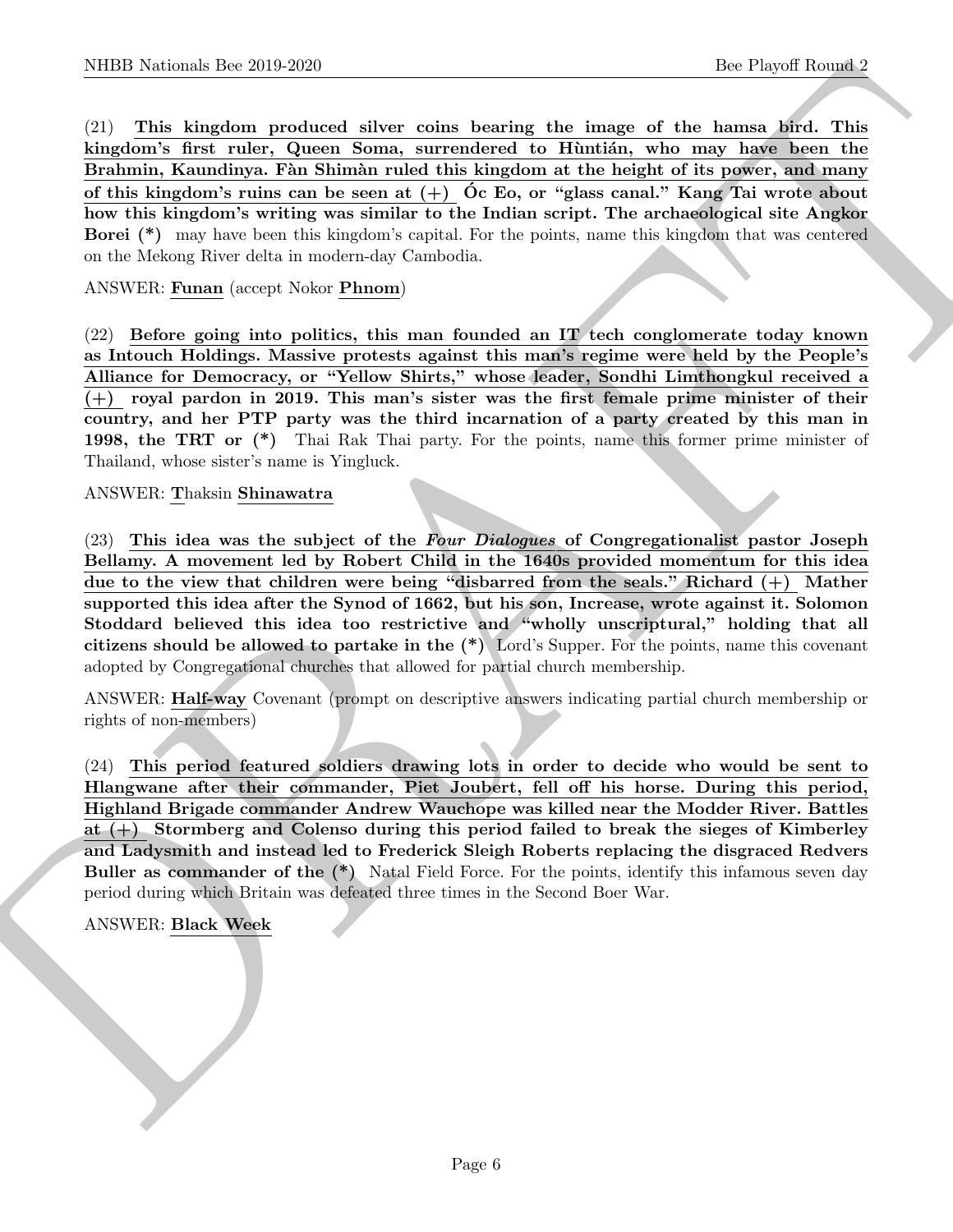NIBER Noticeals line 2019.269<br>
(2). This handless these contrasts bearing the times of the lange of the lange of the lange<br>
(2). This handless form in the binary of the lange of the lange of the lange<br>
of this handless li (21) This kingdom produced silver coins bearing the image of the hamsa bird. This kingdom's first ruler, Queen Soma, surrendered to Huntián, who may have been the Brahmin, Kaundinya. Fàn Shimàn ruled this kingdom at the height of its power, and many of this kingdom's ruins can be seen at  $(+)$  Oc Eo, or "glass canal." Kang Tai wrote about how this kingdom's writing was similar to the Indian script. The archaeological site Angkor Borei (\*) may have been this kingdom's capital. For the points, name this kingdom that was centered on the Mekong River delta in modern-day Cambodia.

### ANSWER: Funan (accept Nokor Phnom)

(22) Before going into politics, this man founded an IT tech conglomerate today known as Intouch Holdings. Massive protests against this man's regime were held by the People's Alliance for Democracy, or "Yellow Shirts," whose leader, Sondhi Limthongkul received a  $(+)$  royal pardon in 2019. This man's sister was the first female prime minister of their country, and her PTP party was the third incarnation of a party created by this man in 1998, the TRT or (\*) Thai Rak Thai party. For the points, name this former prime minister of Thailand, whose sister's name is Yingluck.

#### ANSWER: Thaksin Shinawatra

 $(23)$  This idea was the subject of the Four Dialogues of Congregationalist pastor Joseph Bellamy. A movement led by Robert Child in the 1640s provided momentum for this idea due to the view that children were being "disbarred from the seals." Richard (+) Mather supported this idea after the Synod of 1662, but his son, Increase, wrote against it. Solomon Stoddard believed this idea too restrictive and "wholly unscriptural," holding that all citizens should be allowed to partake in the (\*) Lord's Supper. For the points, name this covenant adopted by Congregational churches that allowed for partial church membership.

ANSWER: Half-way Covenant (prompt on descriptive answers indicating partial church membership or rights of non-members)

(24) This period featured soldiers drawing lots in order to decide who would be sent to Hlangwane after their commander, Piet Joubert, fell off his horse. During this period, Highland Brigade commander Andrew Wauchope was killed near the Modder River. Battles at (+) Stormberg and Colenso during this period failed to break the sieges of Kimberley and Ladysmith and instead led to Frederick Sleigh Roberts replacing the disgraced Redvers Buller as commander of the (\*) Natal Field Force. For the points, identify this infamous seven day period during which Britain was defeated three times in the Second Boer War.

#### ANSWER: Black Week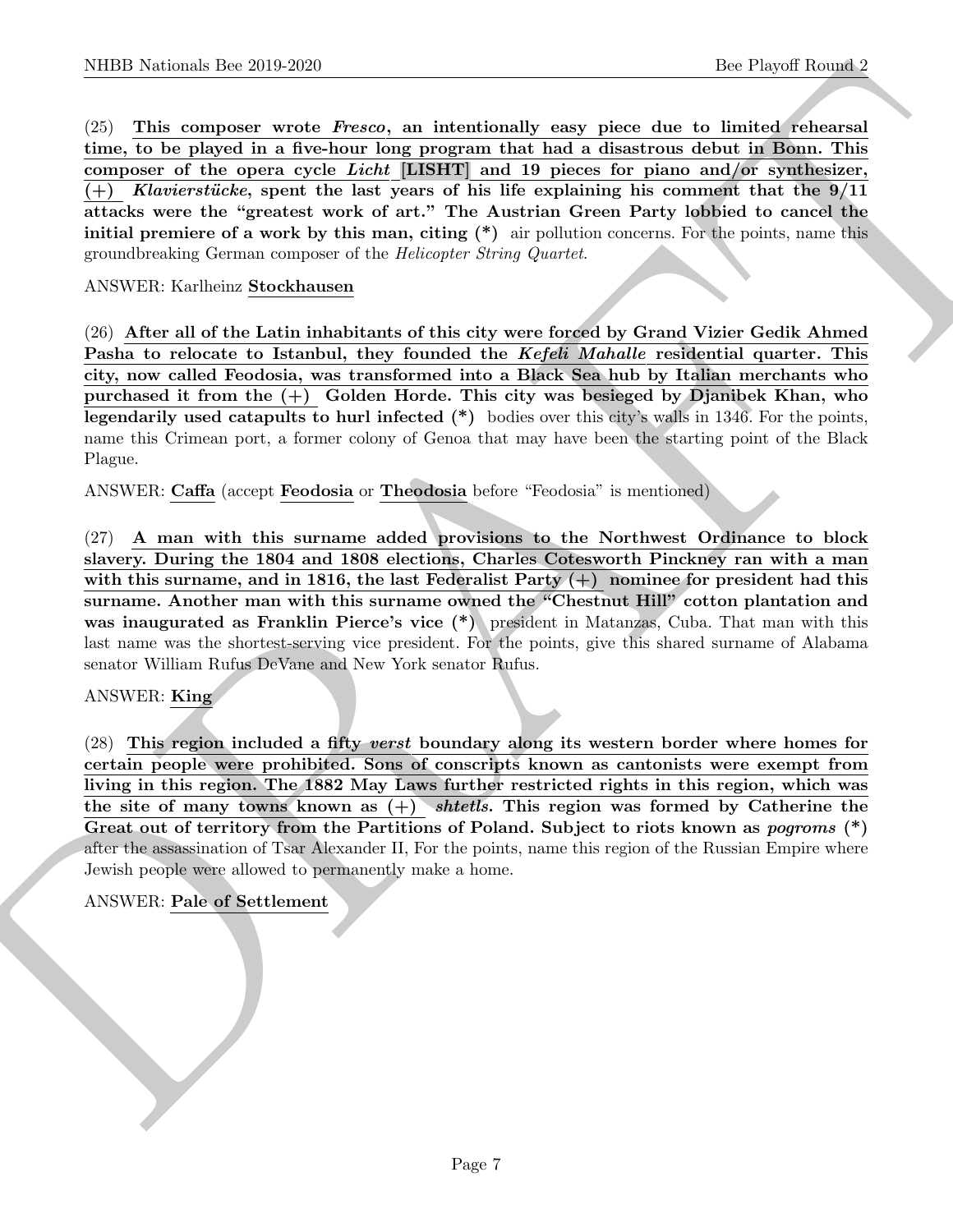NIBB Noticeals line 2019.269<br>
(25) This compone words develop an industionally see<br/>y plose due to find a finite function of the plose of the components of<br/>the state of the components of the components of the compo (25) This composer wrote Fresco, an intentionally easy piece due to limited rehearsal time, to be played in a five-hour long program that had a disastrous debut in Bonn. This composer of the opera cycle Licht [LISHT] and 19 pieces for piano and/or synthesizer,  $(+)$  Klavierstücke, spent the last years of his life explaining his comment that the  $9/11$ attacks were the "greatest work of art." The Austrian Green Party lobbied to cancel the initial premiere of a work by this man, citing  $(*)$  air pollution concerns. For the points, name this groundbreaking German composer of the Helicopter String Quartet.

ANSWER: Karlheinz Stockhausen

(26) After all of the Latin inhabitants of this city were forced by Grand Vizier Gedik Ahmed Pasha to relocate to Istanbul, they founded the Kefeli Mahalle residential quarter. This city, now called Feodosia, was transformed into a Black Sea hub by Italian merchants who purchased it from the (+) Golden Horde. This city was besieged by Djanibek Khan, who legendarily used catapults to hurl infected (\*) bodies over this city's walls in 1346. For the points, name this Crimean port, a former colony of Genoa that may have been the starting point of the Black Plague.

ANSWER: Caffa (accept Feodosia or Theodosia before "Feodosia" is mentioned)

(27) A man with this surname added provisions to the Northwest Ordinance to block slavery. During the 1804 and 1808 elections, Charles Cotesworth Pinckney ran with a man with this surname, and in 1816, the last Federalist Party  $(+)$  nominee for president had this surname. Another man with this surname owned the "Chestnut Hill" cotton plantation and was inaugurated as Franklin Pierce's vice  $(*)$  president in Matanzas, Cuba. That man with this last name was the shortest-serving vice president. For the points, give this shared surname of Alabama senator William Rufus DeVane and New York senator Rufus.

# ANSWER: King

(28) This region included a fifty verst boundary along its western border where homes for certain people were prohibited. Sons of conscripts known as cantonists were exempt from living in this region. The 1882 May Laws further restricted rights in this region, which was the site of many towns known as  $(+)$  shtetls. This region was formed by Catherine the Great out of territory from the Partitions of Poland. Subject to riots known as pogroms  $(*)$ after the assassination of Tsar Alexander II, For the points, name this region of the Russian Empire where Jewish people were allowed to permanently make a home.

# ANSWER: Pale of Settlement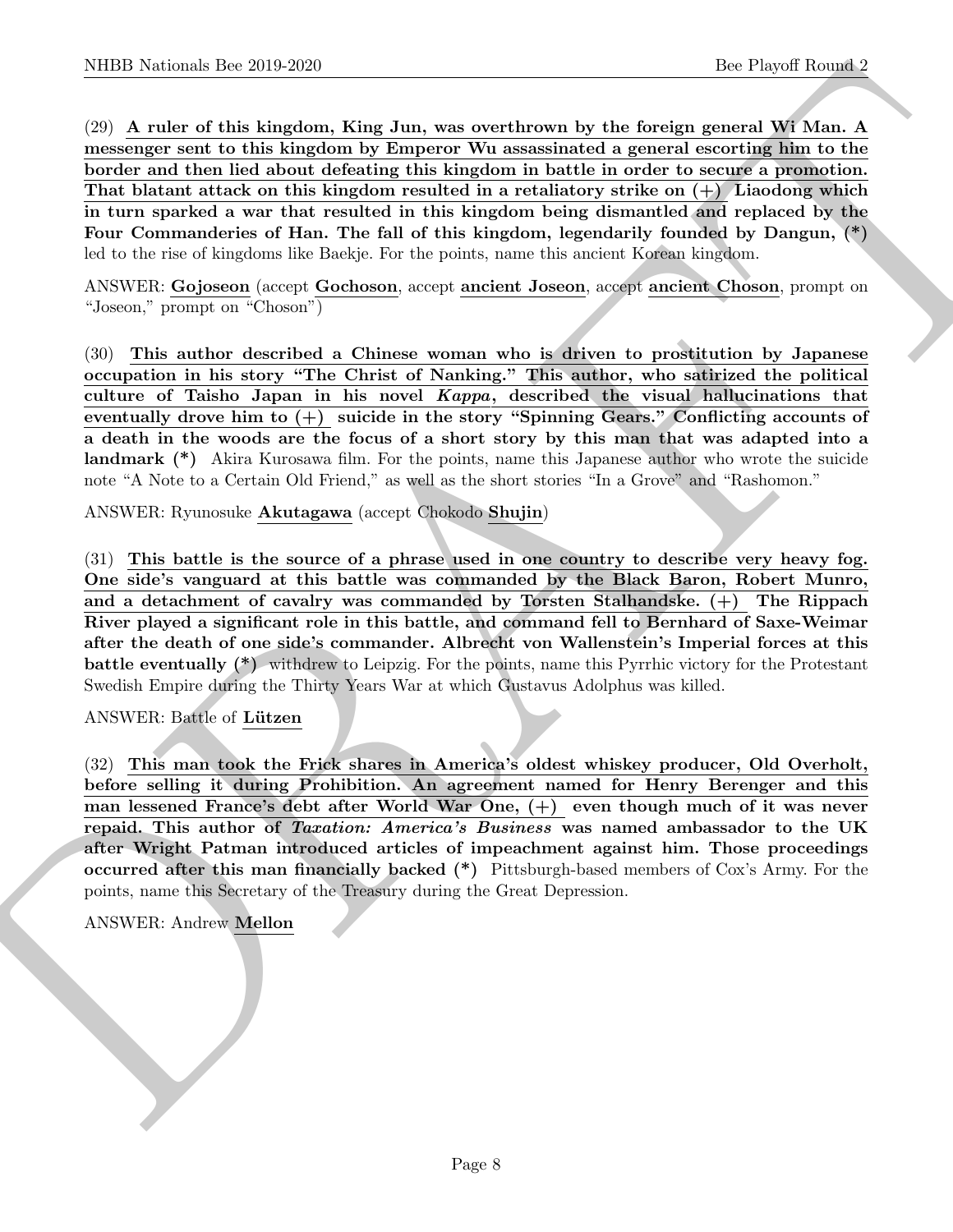NIBED Noticeals. Ber 2019.269<br>
(3) A reduce of this binardon, King Jum, was overthrown by the foreing grand of School space of the Simultane of the Simultane of the Simultane of the Simultane of the Simultane of the Simul (29) A ruler of this kingdom, King Jun, was overthrown by the foreign general Wi Man. A messenger sent to this kingdom by Emperor Wu assassinated a general escorting him to the border and then lied about defeating this kingdom in battle in order to secure a promotion. That blatant attack on this kingdom resulted in a retaliatory strike on  $(+)$  Liaodong which in turn sparked a war that resulted in this kingdom being dismantled and replaced by the Four Commanderies of Han. The fall of this kingdom, legendarily founded by Dangun, (\*) led to the rise of kingdoms like Baekje. For the points, name this ancient Korean kingdom.

ANSWER: Gojoseon (accept Gochoson, accept ancient Joseon, accept ancient Choson, prompt on "Joseon," prompt on "Choson")

(30) This author described a Chinese woman who is driven to prostitution by Japanese occupation in his story "The Christ of Nanking." This author, who satirized the political culture of Taisho Japan in his novel Kappa, described the visual hallucinations that eventually drove him to (+) suicide in the story "Spinning Gears." Conflicting accounts of a death in the woods are the focus of a short story by this man that was adapted into a landmark (\*) Akira Kurosawa film. For the points, name this Japanese author who wrote the suicide note "A Note to a Certain Old Friend," as well as the short stories "In a Grove" and "Rashomon."

ANSWER: Ryunosuke Akutagawa (accept Chokodo Shujin)

(31) This battle is the source of a phrase used in one country to describe very heavy fog. One side's vanguard at this battle was commanded by the Black Baron, Robert Munro, and a detachment of cavalry was commanded by Torsten Stalhandske.  $(+)$  The Rippach River played a significant role in this battle, and command fell to Bernhard of Saxe-Weimar after the death of one side's commander. Albrecht von Wallenstein's Imperial forces at this battle eventually (\*) withdrew to Leipzig. For the points, name this Pyrrhic victory for the Protestant Swedish Empire during the Thirty Years War at which Gustavus Adolphus was killed.

ANSWER: Battle of Lützen

(32) This man took the Frick shares in America's oldest whiskey producer, Old Overholt, before selling it during Prohibition. An agreement named for Henry Berenger and this man lessened France's debt after World War One, (+) even though much of it was never repaid. This author of Taxation: America's Business was named ambassador to the UK after Wright Patman introduced articles of impeachment against him. Those proceedings occurred after this man financially backed (\*) Pittsburgh-based members of Cox's Army. For the points, name this Secretary of the Treasury during the Great Depression.

ANSWER: Andrew Mellon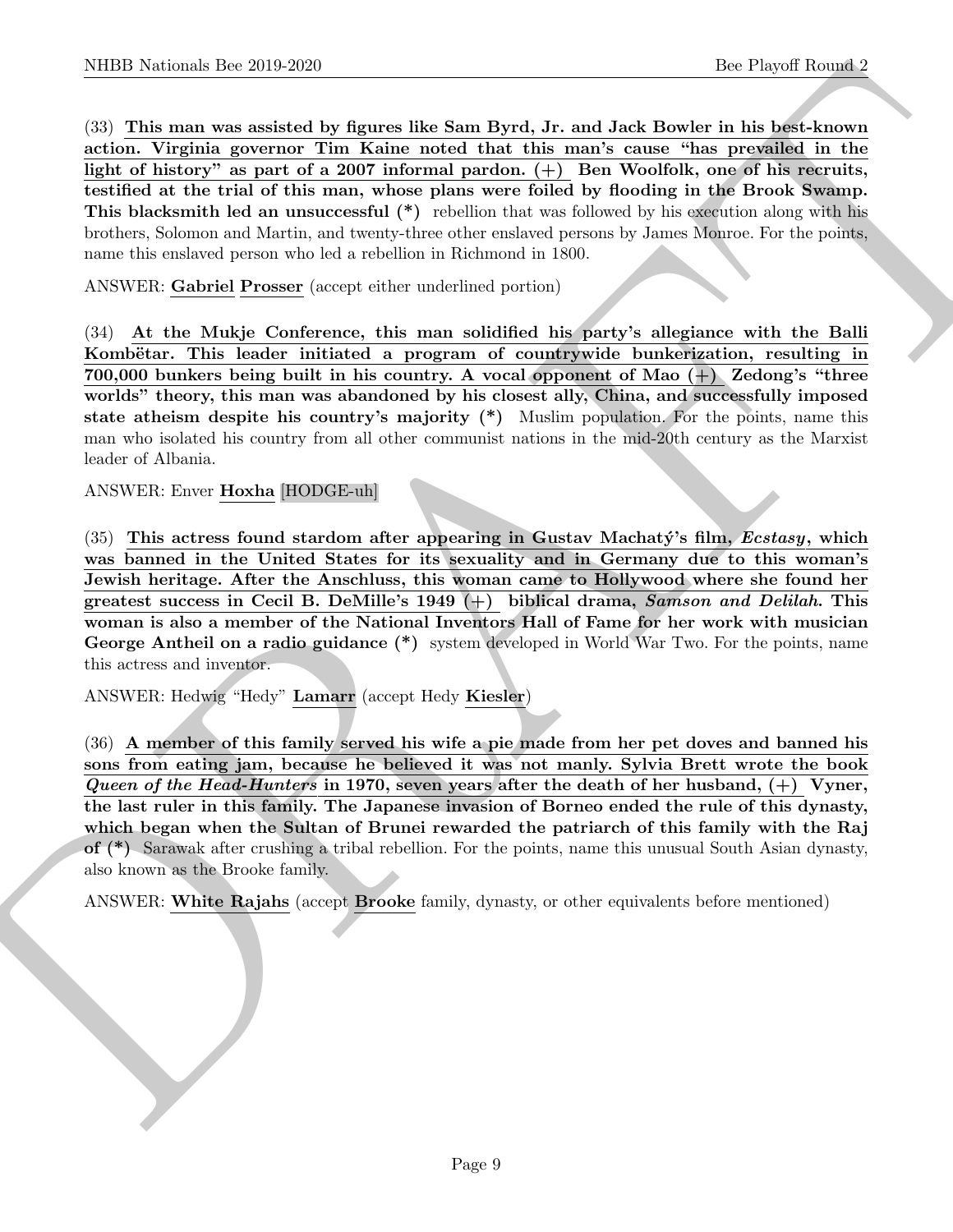NIBER National- Ber 200 2020<br>
33. This man was sisted by figures the Sam Bych, Jr. and Jusk Books in this head-was a<br>sisted by figures (by since the reaction that same consider the figures)<br>
and the figure of the since an (33) This man was assisted by figures like Sam Byrd, Jr. and Jack Bowler in his best-known action. Virginia governor Tim Kaine noted that this man's cause "has prevailed in the light of history" as part of a 2007 informal pardon.  $(+)$  Ben Woolfolk, one of his recruits, testified at the trial of this man, whose plans were foiled by flooding in the Brook Swamp. This blacksmith led an unsuccessful (\*) rebellion that was followed by his execution along with his brothers, Solomon and Martin, and twenty-three other enslaved persons by James Monroe. For the points, name this enslaved person who led a rebellion in Richmond in 1800.

ANSWER: Gabriel Prosser (accept either underlined portion)

(34) At the Mukje Conference, this man solidified his party's allegiance with the Balli Kombëtar. This leader initiated a program of countrywide bunkerization, resulting in 700,000 bunkers being built in his country. A vocal opponent of Mao (+) Zedong's "three worlds" theory, this man was abandoned by his closest ally, China, and successfully imposed state atheism despite his country's majority (\*) Muslim population. For the points, name this man who isolated his country from all other communist nations in the mid-20th century as the Marxist leader of Albania.

ANSWER: Enver Hoxha [HODGE-uh]

 $(35)$  This actress found stardom after appearing in Gustav Machaty's film, *Ecstasy*, which was banned in the United States for its sexuality and in Germany due to this woman's Jewish heritage. After the Anschluss, this woman came to Hollywood where she found her greatest success in Cecil B. DeMille's 1949  $(+)$  biblical drama, Samson and Delilah. This woman is also a member of the National Inventors Hall of Fame for her work with musician George Antheil on a radio guidance (\*) system developed in World War Two. For the points, name this actress and inventor.

ANSWER: Hedwig "Hedy" Lamarr (accept Hedy Kiesler)

(36) A member of this family served his wife a pie made from her pet doves and banned his sons from eating jam, because he believed it was not manly. Sylvia Brett wrote the book Queen of the Head-Hunters in 1970, seven years after the death of her husband,  $(+)$  Vyner, the last ruler in this family. The Japanese invasion of Borneo ended the rule of this dynasty, which began when the Sultan of Brunei rewarded the patriarch of this family with the Raj of (\*) Sarawak after crushing a tribal rebellion. For the points, name this unusual South Asian dynasty, also known as the Brooke family.

ANSWER: White Rajahs (accept Brooke family, dynasty, or other equivalents before mentioned)